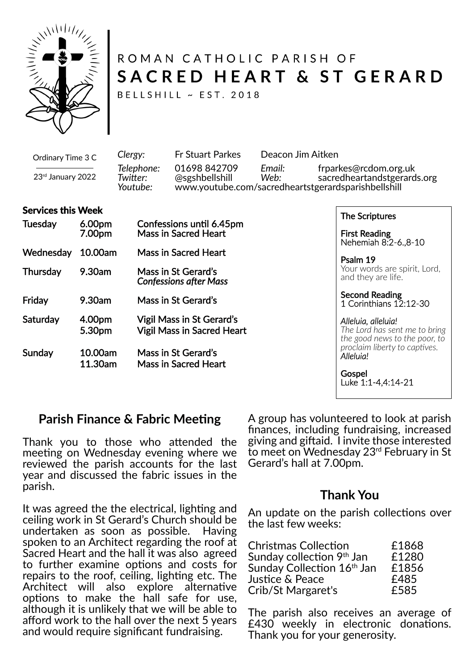

# ROMAN CATHOLIC PARISH OF SACRED HEART & ST GERARD

BELLSHILL ~ EST. 2018

Ordinary Time 3 C 23rd January 2022 *Clergy:* Fr Stuart Parkes Deacon Jim Aitken *Telephone:* 01698 842709 *Email:* frparkes@rcdom.org.uk *Twi�er:* @sgshbellshill *Web:* sacredheartandstgerards.org *Youtube:* www.youtube.com/sacredheartstgerardsparishbellshill

#### **Services this Week**

| <b>Tuesday</b>  | 6.00pm<br>7.00pm   | Confessions until 6.45pm<br><b>Mass in Sacred Heart</b>               |
|-----------------|--------------------|-----------------------------------------------------------------------|
| Wednesday       | 10.00am            | <b>Mass in Sacred Heart</b>                                           |
| <b>Thursday</b> | 9.30am             | Mass in St Gerard's<br><b>Confessions after Mass</b>                  |
| Friday          | 9.30am             | Mass in St Gerard's                                                   |
| Saturday        | 4.00pm<br>5.30pm   | <b>Vigil Mass in St Gerard's</b><br><b>Vigil Mass in Sacred Heart</b> |
| Sunday          | 10.00am<br>11.30am | Mass in St Gerard's<br><b>Mass in Sacred Heart</b>                    |

The Scriptures

First Reading Nehemiah 8:2-6.,8-10

Psalm 19 Your words are spirit, Lord, and they are life.

Second Reading 1 Corinthians 12:12-30

#### *Alleluia, alleluia!*

*The Lord has sent me to bring the good news to the poor, to proclaim liberty to captives. Alleluia!*

**Gospel** Luke 1:1-4,4:14-21

### **Parish Finance & Fabric Meeting**

Thank you to those who attended the meeting on Wednesday evening where we reviewed the parish accounts for the last year and discussed the fabric issues in the parish.

It was agreed the the electrical, lighting and ceiling work in St Gerard's Church should be undertaken as soon as possible. Having spoken to an Architect regarding the roof at Sacred Heart and the hall it was also agreed to further examine options and costs for repairs to the roof, ceiling, lighting etc. The Architect will also explore alternative options to make the hall safe for use, although it is unlikely that we will be able to afford work to the hall over the next 5 years and would require significant fundraising.

A group has volunteered to look at parish finances, including fundraising, increased giving and gi�aid. I invite those interested to meet on Wednesday 23rd February in St Gerard's hall at 7.00pm.

#### **Thank You**

An update on the parish collections over the last few weeks:

| <b>Christmas Collection</b>            | £1868 |
|----------------------------------------|-------|
| Sunday collection 9th Jan              | £1280 |
| Sunday Collection 16 <sup>th</sup> Jan | £1856 |
| Justice & Peace                        | £485  |
| Crib/St Margaret's                     | £585  |

The parish also receives an average of  $E430$  weekly in electronic donations. Thank you for your generosity.